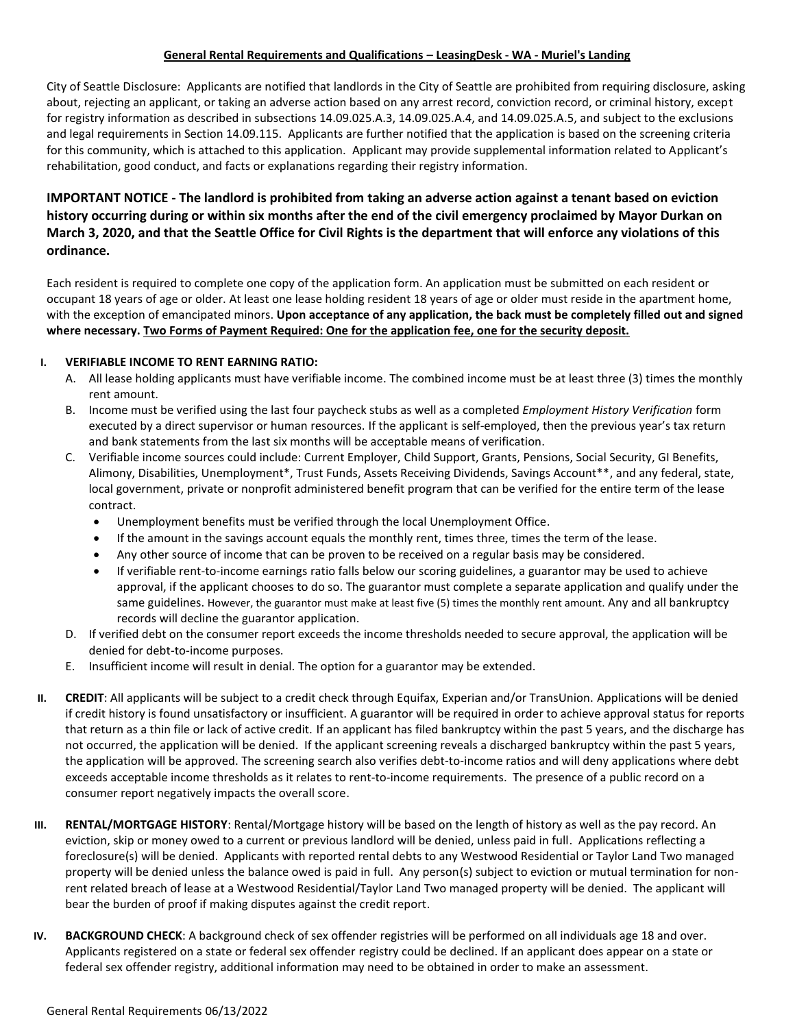## **General Rental Requirements and Qualifications – LeasingDesk - WA - Muriel's Landing**

City of Seattle Disclosure: Applicants are notified that landlords in the City of Seattle are prohibited from requiring disclosure, asking about, rejecting an applicant, or taking an adverse action based on any arrest record, conviction record, or criminal history, except for registry information as described in subsections 14.09.025.A.3, 14.09.025.A.4, and 14.09.025.A.5, and subject to the exclusions and legal requirements in Section 14.09.115. Applicants are further notified that the application is based on the screening criteria for this community, which is attached to this application. Applicant may provide supplemental information related to Applicant's rehabilitation, good conduct, and facts or explanations regarding their registry information.

## **IMPORTANT NOTICE - The landlord is prohibited from taking an adverse action against a tenant based on eviction history occurring during or within six months after the end of the civil emergency proclaimed by Mayor Durkan on March 3, 2020, and that the Seattle Office for Civil Rights is the department that will enforce any violations of this ordinance.**

Each resident is required to complete one copy of the application form. An application must be submitted on each resident or occupant 18 years of age or older. At least one lease holding resident 18 years of age or older must reside in the apartment home, with the exception of emancipated minors. **Upon acceptance of any application, the back must be completely filled out and signed where necessary. Two Forms of Payment Required: One for the application fee, one for the security deposit.**

## **I. VERIFIABLE INCOME TO RENT EARNING RATIO:**

- A. All lease holding applicants must have verifiable income. The combined income must be at least three (3) times the monthly rent amount.
- B. Income must be verified using the last four paycheck stubs as well as a completed *Employment History Verification* form executed by a direct supervisor or human resources. If the applicant is self-employed, then the previous year's tax return and bank statements from the last six months will be acceptable means of verification.
- C. Verifiable income sources could include: Current Employer, Child Support, Grants, Pensions, Social Security, GI Benefits, Alimony, Disabilities, Unemployment\*, Trust Funds, Assets Receiving Dividends, Savings Account\*\*, and any federal, state, local government, private or nonprofit administered benefit program that can be verified for the entire term of the lease contract.
	- Unemployment benefits must be verified through the local Unemployment Office.
	- If the amount in the savings account equals the monthly rent, times three, times the term of the lease.
	- Any other source of income that can be proven to be received on a regular basis may be considered.
	- If verifiable rent-to-income earnings ratio falls below our scoring guidelines, a guarantor may be used to achieve approval, if the applicant chooses to do so. The guarantor must complete a separate application and qualify under the same guidelines. However, the guarantor must make at least five (5) times the monthly rent amount. Any and all bankruptcy records will decline the guarantor application.
- D. If verified debt on the consumer report exceeds the income thresholds needed to secure approval, the application will be denied for debt-to-income purposes.
- E. Insufficient income will result in denial. The option for a guarantor may be extended.
- **II. CREDIT**: All applicants will be subject to a credit check through Equifax, Experian and/or TransUnion. Applications will be denied if credit history is found unsatisfactory or insufficient. A guarantor will be required in order to achieve approval status for reports that return as a thin file or lack of active credit. If an applicant has filed bankruptcy within the past 5 years, and the discharge has not occurred, the application will be denied. If the applicant screening reveals a discharged bankruptcy within the past 5 years, the application will be approved. The screening search also verifies debt-to-income ratios and will deny applications where debt exceeds acceptable income thresholds as it relates to rent-to-income requirements. The presence of a public record on a consumer report negatively impacts the overall score.
- **III. RENTAL/MORTGAGE HISTORY**: Rental/Mortgage history will be based on the length of history as well as the pay record. An eviction, skip or money owed to a current or previous landlord will be denied, unless paid in full. Applications reflecting a foreclosure(s) will be denied. Applicants with reported rental debts to any Westwood Residential or Taylor Land Two managed property will be denied unless the balance owed is paid in full. Any person(s) subject to eviction or mutual termination for nonrent related breach of lease at a Westwood Residential/Taylor Land Two managed property will be denied. The applicant will bear the burden of proof if making disputes against the credit report.
- **IV. BACKGROUND CHECK**: A background check of sex offender registries will be performed on all individuals age 18 and over. Applicants registered on a state or federal sex offender registry could be declined. If an applicant does appear on a state or federal sex offender registry, additional information may need to be obtained in order to make an assessment.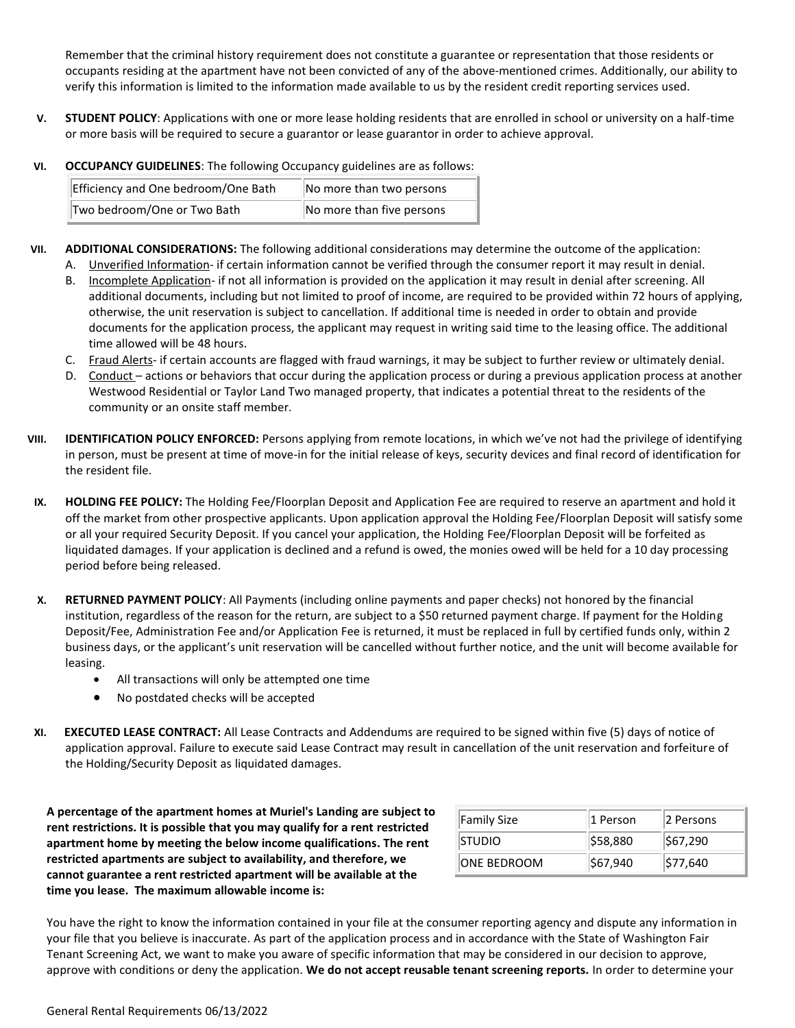Remember that the criminal history requirement does not constitute a guarantee or representation that those residents or occupants residing at the apartment have not been convicted of any of the above-mentioned crimes. Additionally, our ability to verify this information is limited to the information made available to us by the resident credit reporting services used.

- **V. STUDENT POLICY**: Applications with one or more lease holding residents that are enrolled in school or university on a half-time or more basis will be required to secure a guarantor or lease guarantor in order to achieve approval.
- **VI. OCCUPANCY GUIDELINES**: The following Occupancy guidelines are as follows:

| Efficiency and One bedroom/One Bath | No more than two persons  |
|-------------------------------------|---------------------------|
| Two bedroom/One or Two Bath         | No more than five persons |

- **VII. ADDITIONAL CONSIDERATIONS:** The following additional considerations may determine the outcome of the application:
	- A. Unverified Information- if certain information cannot be verified through the consumer report it may result in denial.
	- B. Incomplete Application- if not all information is provided on the application it may result in denial after screening. All additional documents, including but not limited to proof of income, are required to be provided within 72 hours of applying, otherwise, the unit reservation is subject to cancellation. If additional time is needed in order to obtain and provide documents for the application process, the applicant may request in writing said time to the leasing office. The additional time allowed will be 48 hours.
	- C. Fraud Alerts- if certain accounts are flagged with fraud warnings, it may be subject to further review or ultimately denial.
	- D. Conduct actions or behaviors that occur during the application process or during a previous application process at another Westwood Residential or Taylor Land Two managed property, that indicates a potential threat to the residents of the community or an onsite staff member.
- **VIII. IDENTIFICATION POLICY ENFORCED:** Persons applying from remote locations, in which we've not had the privilege of identifying in person, must be present at time of move-in for the initial release of keys, security devices and final record of identification for the resident file.
- **IX. HOLDING FEE POLICY:** The Holding Fee/Floorplan Deposit and Application Fee are required to reserve an apartment and hold it off the market from other prospective applicants. Upon application approval the Holding Fee/Floorplan Deposit will satisfy some or all your required Security Deposit. If you cancel your application, the Holding Fee/Floorplan Deposit will be forfeited as liquidated damages. If your application is declined and a refund is owed, the monies owed will be held for a 10 day processing period before being released.
- **X. RETURNED PAYMENT POLICY**: All Payments (including online payments and paper checks) not honored by the financial institution, regardless of the reason for the return, are subject to a \$50 returned payment charge. If payment for the Holding Deposit/Fee, Administration Fee and/or Application Fee is returned, it must be replaced in full by certified funds only, within 2 business days, or the applicant's unit reservation will be cancelled without further notice, and the unit will become available for leasing.
	- All transactions will only be attempted one time
	- No postdated checks will be accepted
- **XI. EXECUTED LEASE CONTRACT:** All Lease Contracts and Addendums are required to be signed within five (5) days of notice of application approval. Failure to execute said Lease Contract may result in cancellation of the unit reservation and forfeiture of the Holding/Security Deposit as liquidated damages.

**A percentage of the apartment homes at Muriel's Landing are subject to rent restrictions. It is possible that you may qualify for a rent restricted apartment home by meeting the below income qualifications. The rent restricted apartments are subject to availability, and therefore, we cannot guarantee a rent restricted apartment will be available at the time you lease. The maximum allowable income is:**

| <b>Family Size</b> | 1 Person | 2 Persons |
|--------------------|----------|-----------|
| Istudio            | \$58,880 | \$67,290  |
| ONE BEDROOM        | \$67,940 | \$77,640  |

You have the right to know the information contained in your file at the consumer reporting agency and dispute any information in your file that you believe is inaccurate. As part of the application process and in accordance with the State of Washington Fair Tenant Screening Act, we want to make you aware of specific information that may be considered in our decision to approve, approve with conditions or deny the application. **We do not accept reusable tenant screening reports.** In order to determine your